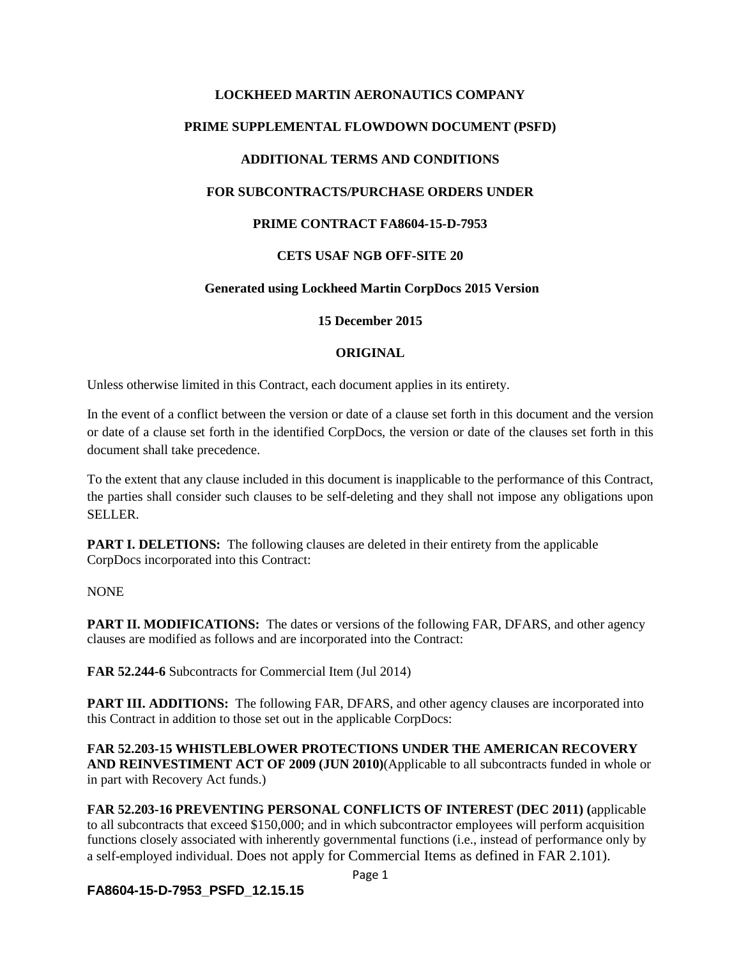# **LOCKHEED MARTIN AERONAUTICS COMPANY**

### **PRIME SUPPLEMENTAL FLOWDOWN DOCUMENT (PSFD)**

## **ADDITIONAL TERMS AND CONDITIONS**

#### **FOR SUBCONTRACTS/PURCHASE ORDERS UNDER**

#### **PRIME CONTRACT FA8604-15-D-7953**

#### **CETS USAF NGB OFF-SITE 20**

## **Generated using Lockheed Martin CorpDocs 2015 Version**

**15 December 2015**

#### **ORIGINAL**

Unless otherwise limited in this Contract, each document applies in its entirety.

In the event of a conflict between the version or date of a clause set forth in this document and the version or date of a clause set forth in the identified CorpDocs, the version or date of the clauses set forth in this document shall take precedence.

To the extent that any clause included in this document is inapplicable to the performance of this Contract, the parties shall consider such clauses to be self-deleting and they shall not impose any obligations upon SELLER.

**PART I. DELETIONS:** The following clauses are deleted in their entirety from the applicable CorpDocs incorporated into this Contract:

NONE

**PART II. MODIFICATIONS:** The dates or versions of the following FAR, DFARS, and other agency clauses are modified as follows and are incorporated into the Contract:

**FAR 52.244-6** Subcontracts for Commercial Item (Jul 2014)

**PART III. ADDITIONS:** The following FAR, DFARS, and other agency clauses are incorporated into this Contract in addition to those set out in the applicable CorpDocs:

**FAR 52.203-15 WHISTLEBLOWER PROTECTIONS UNDER THE AMERICAN RECOVERY AND REINVESTIMENT ACT OF 2009 (JUN 2010)**(Applicable to all subcontracts funded in whole or in part with Recovery Act funds.)

**FAR 52.203-16 PREVENTING PERSONAL CONFLICTS OF INTEREST (DEC 2011) (**applicable to all subcontracts that exceed \$150,000; and in which subcontractor employees will perform acquisition functions closely associated with inherently governmental functions (i.e., instead of performance only by a self-employed individual. Does not apply for Commercial Items as defined in FAR 2.101).

**FA8604-15-D-7953\_PSFD\_12.15.15**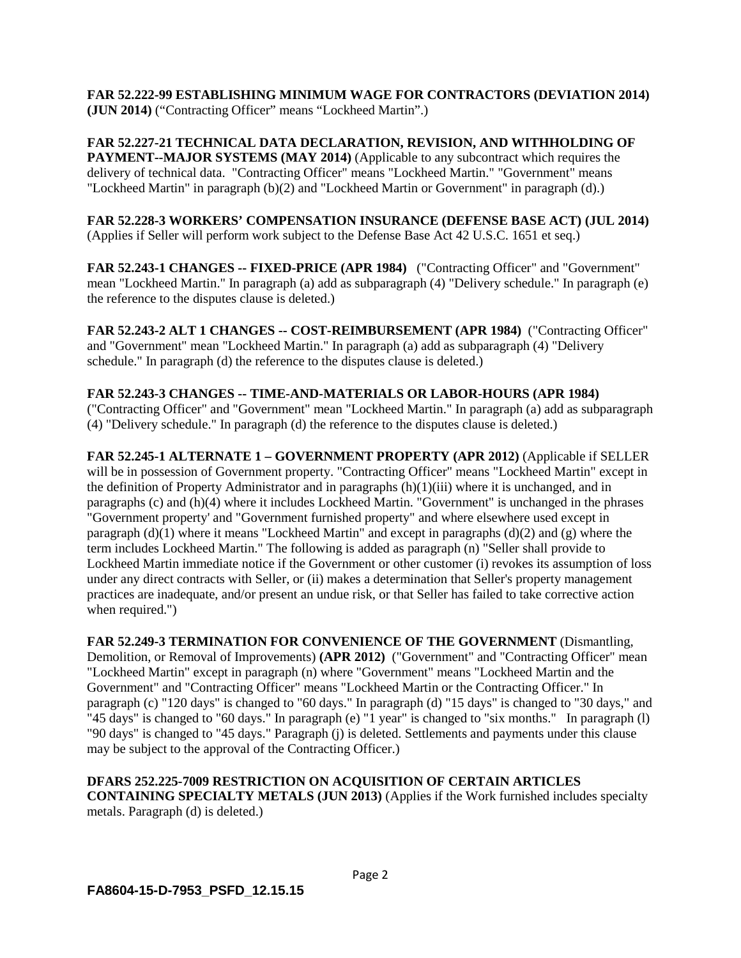**FAR 52.222-99 ESTABLISHING MINIMUM WAGE FOR CONTRACTORS (DEVIATION 2014) (JUN 2014)** ("Contracting Officer" means "Lockheed Martin".)

**FAR 52.227-21 TECHNICAL DATA DECLARATION, REVISION, AND WITHHOLDING OF PAYMENT--MAJOR SYSTEMS (MAY 2014)** (Applicable to any subcontract which requires the delivery of technical data. "Contracting Officer" means "Lockheed Martin." "Government" means "Lockheed Martin" in paragraph (b)(2) and "Lockheed Martin or Government" in paragraph (d).)

**FAR 52.228-3 WORKERS' COMPENSATION INSURANCE (DEFENSE BASE ACT) (JUL 2014)** (Applies if Seller will perform work subject to the Defense Base Act 42 U.S.C. 1651 et seq.)

**FAR 52.243-1 CHANGES -- FIXED-PRICE (APR 1984)** ("Contracting Officer" and "Government" mean "Lockheed Martin." In paragraph (a) add as subparagraph (4) "Delivery schedule." In paragraph (e) the reference to the disputes clause is deleted.)

**FAR 52.243-2 ALT 1 CHANGES -- COST-REIMBURSEMENT (APR 1984)** ("Contracting Officer" and "Government" mean "Lockheed Martin." In paragraph (a) add as subparagraph (4) "Delivery schedule." In paragraph (d) the reference to the disputes clause is deleted.)

#### **FAR 52.243-3 CHANGES -- TIME-AND-MATERIALS OR LABOR-HOURS (APR 1984)**

("Contracting Officer" and "Government" mean "Lockheed Martin." In paragraph (a) add as subparagraph (4) "Delivery schedule." In paragraph (d) the reference to the disputes clause is deleted.)

**FAR 52.245-1 ALTERNATE 1 – GOVERNMENT PROPERTY (APR 2012)** (Applicable if SELLER will be in possession of Government property. "Contracting Officer" means "Lockheed Martin" except in the definition of Property Administrator and in paragraphs  $(h)(1)(iii)$  where it is unchanged, and in paragraphs (c) and (h)(4) where it includes Lockheed Martin. "Government" is unchanged in the phrases "Government property' and "Government furnished property" and where elsewhere used except in paragraph  $(d)(1)$  where it means "Lockheed Martin" and except in paragraphs  $(d)(2)$  and  $(g)$  where the term includes Lockheed Martin." The following is added as paragraph (n) "Seller shall provide to Lockheed Martin immediate notice if the Government or other customer (i) revokes its assumption of loss under any direct contracts with Seller, or (ii) makes a determination that Seller's property management practices are inadequate, and/or present an undue risk, or that Seller has failed to take corrective action when required.")

**FAR 52.249-3 TERMINATION FOR CONVENIENCE OF THE GOVERNMENT** (Dismantling, Demolition, or Removal of Improvements) **(APR 2012)** ("Government" and "Contracting Officer" mean "Lockheed Martin" except in paragraph (n) where "Government" means "Lockheed Martin and the Government" and "Contracting Officer" means "Lockheed Martin or the Contracting Officer." In paragraph (c) "120 days" is changed to "60 days." In paragraph (d) "15 days" is changed to "30 days," and "45 days" is changed to "60 days." In paragraph (e) "1 year" is changed to "six months." In paragraph (l) "90 days" is changed to "45 days." Paragraph (j) is deleted. Settlements and payments under this clause may be subject to the approval of the Contracting Officer.)

**DFARS 252.225-7009 RESTRICTION ON ACQUISITION OF CERTAIN ARTICLES CONTAINING SPECIALTY METALS (JUN 2013)** (Applies if the Work furnished includes specialty metals. Paragraph (d) is deleted.)